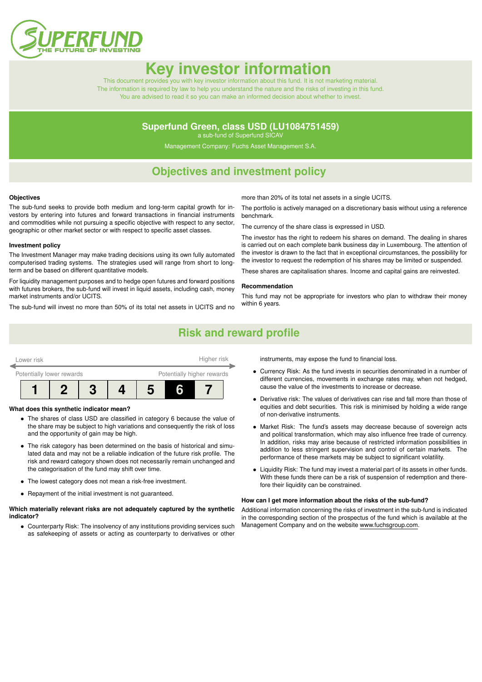

# **Key investor informa**

This document provides you with key investor information about this fund. It is not marketing material. The information is required by law to help you understand the nature and the risks of investing in this fund. You are advised to read it so you can make an informed decision about whether to invest.

### **Superfund Green, class USD (LU1084751459)**

a sub-fund of Superfund SICAV

Management Company: Fuchs Asset Management S.A.

### **Objectives and investment policy**

#### **Objectives**

The sub-fund seeks to provide both medium and long-term capital growth for investors by entering into futures and forward transactions in financial instruments and commodities while not pursuing a specific objective with respect to any sector, geographic or other market sector or with respect to specific asset classes.

#### **Investment policy**

The Investment Manager may make trading decisions using its own fully automated computerised trading systems. The strategies used will range from short to longterm and be based on different quantitative models.

For liquidity management purposes and to hedge open futures and forward positions with futures brokers, the sub-fund will invest in liquid assets, including cash, money market instruments and/or UCITS.

The sub-fund will invest no more than 50% of its total net assets in UCITS and no

more than 20% of its total net assets in a single UCITS.

The portfolio is actively managed on a discretionary basis without using a reference benchmark.

The currency of the share class is expressed in USD.

The investor has the right to redeem his shares on demand. The dealing in shares is carried out on each complete bank business day in Luxembourg. The attention of the investor is drawn to the fact that in exceptional circumstances, the possibility for the investor to request the redemption of his shares may be limited or suspended.

These shares are capitalisation shares. Income and capital gains are reinvested.

#### **Recommendation**

This fund may not be appropriate for investors who plan to withdraw their money within 6 years.

### **Risk and reward profile**



#### **What does this synthetic indicator mean?**

- The shares of class USD are classified in category 6 because the value of the share may be subject to high variations and consequently the risk of loss and the opportunity of gain may be high.
- The risk category has been determined on the basis of historical and simulated data and may not be a reliable indication of the future risk profile. The risk and reward category shown does not necessarily remain unchanged and the categorisation of the fund may shift over time.
- The lowest category does not mean a risk-free investment.
- Repayment of the initial investment is not guaranteed.

#### **Which materially relevant risks are not adequately captured by the synthetic indicator?**

• Counterparty Risk: The insolvency of any institutions providing services such as safekeeping of assets or acting as counterparty to derivatives or other

instruments, may expose the fund to financial loss.

- Currency Risk: As the fund invests in securities denominated in a number of different currencies, movements in exchange rates may, when not hedged, cause the value of the investments to increase or decrease.
- Derivative risk: The values of derivatives can rise and fall more than those of equities and debt securities. This risk is minimised by holding a wide range of non-derivative instruments.
- Market Risk: The fund's assets may decrease because of sovereign acts and political transformation, which may also influence free trade of currency. In addition, risks may arise because of restricted information possibilities in addition to less stringent supervision and control of certain markets. The performance of these markets may be subject to significant volatility.
- Liquidity Risk: The fund may invest a material part of its assets in other funds. With these funds there can be a risk of suspension of redemption and therefore their liquidity can be constrained.

#### **How can I get more information about the risks of the sub-fund?**

Additional information concerning the risks of investment in the sub-fund is indicated in the corresponding section of the prospectus of the fund which is available at the Management Company and on the website [www.fuchsgroup.com.](http://www.fuchsgroup.com)